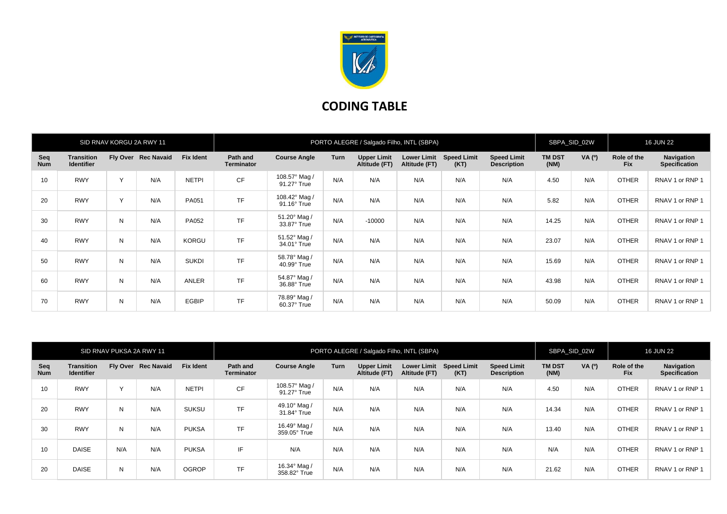

## **CODING TABLE**

| SID RNAV KORGU 2A RWY 11 |                                        |              |                     | PORTO ALEGRE / Salgado Filho, INTL (SBPA) |                               |                                     |             |                                     |                                     |                            |                                          | SBPA SID 02W          |        | <b>16 JUN 22</b>          |                                    |
|--------------------------|----------------------------------------|--------------|---------------------|-------------------------------------------|-------------------------------|-------------------------------------|-------------|-------------------------------------|-------------------------------------|----------------------------|------------------------------------------|-----------------------|--------|---------------------------|------------------------------------|
| Seq<br><b>Num</b>        | <b>Transition</b><br><b>Identifier</b> |              | Fly Over Rec Navaid | <b>Fix Ident</b>                          | Path and<br><b>Terminator</b> | <b>Course Angle</b>                 | <b>Turn</b> | <b>Upper Limit</b><br>Altitude (FT) | <b>Lower Limit</b><br>Altitude (FT) | <b>Speed Limit</b><br>(KT) | <b>Speed Limit</b><br><b>Description</b> | <b>TM DST</b><br>(NM) | VA (0) | Role of the<br><b>Fix</b> | Navigation<br><b>Specification</b> |
| 10                       | <b>RWY</b>                             | $\checkmark$ | N/A                 | <b>NETPI</b>                              | <b>CF</b>                     | 108.57° Mag /<br>91.27° True        | N/A         | N/A                                 | N/A                                 | N/A                        | N/A                                      | 4.50                  | N/A    | <b>OTHER</b>              | RNAV 1 or RNP 1                    |
| 20                       | <b>RWY</b>                             | $\sqrt{}$    | N/A                 | PA051                                     | <b>TF</b>                     | 108.42° Mag /<br>$91.16^\circ$ True | N/A         | N/A                                 | N/A                                 | N/A                        | N/A                                      | 5.82                  | N/A    | <b>OTHER</b>              | RNAV 1 or RNP 1                    |
| 30                       | <b>RWY</b>                             | N            | N/A                 | PA052                                     | <b>TF</b>                     | 51.20° Mag /<br>33.87° True         | N/A         | $-10000$                            | N/A                                 | N/A                        | N/A                                      | 14.25                 | N/A    | <b>OTHER</b>              | RNAV 1 or RNP 1                    |
| 40                       | <b>RWY</b>                             | N            | N/A                 | KORGU                                     | <b>TF</b>                     | 51.52° Mag /<br>34.01° True         | N/A         | N/A                                 | N/A                                 | N/A                        | N/A                                      | 23.07                 | N/A    | <b>OTHER</b>              | RNAV 1 or RNP 1                    |
| 50                       | <b>RWY</b>                             | N            | N/A                 | <b>SUKDI</b>                              | <b>TF</b>                     | 58.78° Mag /<br>40.99° True         | N/A         | N/A                                 | N/A                                 | N/A                        | N/A                                      | 15.69                 | N/A    | <b>OTHER</b>              | RNAV 1 or RNP 1                    |
| 60                       | <b>RWY</b>                             | N            | N/A                 | ANLER                                     | <b>TF</b>                     | 54.87° Mag /<br>36.88° True         | N/A         | N/A                                 | N/A                                 | N/A                        | N/A                                      | 43.98                 | N/A    | <b>OTHER</b>              | RNAV 1 or RNP 1                    |
| 70                       | <b>RWY</b>                             | N            | N/A                 | <b>EGBIP</b>                              | <b>TF</b>                     | 78.89° Mag /<br>60.37° True         | N/A         | N/A                                 | N/A                                 | N/A                        | N/A                                      | 50.09                 | N/A    | <b>OTHER</b>              | RNAV 1 or RNP 1                    |

| SID RNAV PUKSA 2A RWY 11 |                                        |     |                     |                  | PORTO ALEGRE / Salgado Filho, INTL (SBPA) |                                    |      |                                     |               |                                 |                                          |                       | SBPA SID 02W |                           | <b>16 JUN 22</b>                   |  |
|--------------------------|----------------------------------------|-----|---------------------|------------------|-------------------------------------------|------------------------------------|------|-------------------------------------|---------------|---------------------------------|------------------------------------------|-----------------------|--------------|---------------------------|------------------------------------|--|
| Seq<br><b>Num</b>        | <b>Transition</b><br><b>Identifier</b> |     | Fly Over Rec Navaid | <b>Fix Ident</b> | Path and<br><b>Terminator</b>             | <b>Course Angle</b>                | Turn | <b>Upper Limit</b><br>Altitude (FT) | Altitude (FT) | Lower Limit Speed Limit<br>(KT) | <b>Speed Limit</b><br><b>Description</b> | <b>TM DST</b><br>(NM) | VA (0)       | Role of the<br><b>Fix</b> | Navigation<br><b>Specification</b> |  |
| 10                       | <b>RWY</b>                             |     | N/A                 | <b>NETPI</b>     | <b>CF</b>                                 | 108.57° Mag /<br>91.27° True       | N/A  | N/A                                 | N/A           | N/A                             | N/A                                      | 4.50                  | N/A          | <b>OTHER</b>              | RNAV 1 or RNP 1                    |  |
| 20                       | <b>RWY</b>                             | N   | N/A                 | <b>SUKSU</b>     | <b>TF</b>                                 | 49.10° Mag /<br>$31.84^\circ$ True | N/A  | N/A                                 | N/A           | N/A                             | N/A                                      | 14.34                 | N/A          | <b>OTHER</b>              | RNAV 1 or RNP 1                    |  |
| 30                       | <b>RWY</b>                             | N   | N/A                 | <b>PUKSA</b>     | <b>TF</b>                                 | 16.49° Mag /<br>359.05° True       | N/A  | N/A                                 | N/A           | N/A                             | N/A                                      | 13.40                 | N/A          | <b>OTHER</b>              | RNAV 1 or RNP 1                    |  |
| 10                       | <b>DAISE</b>                           | N/A | N/A                 | <b>PUKSA</b>     | IF                                        | N/A                                | N/A  | N/A                                 | N/A           | N/A                             | N/A                                      | N/A                   | N/A          | <b>OTHER</b>              | RNAV 1 or RNP 1                    |  |
| 20                       | <b>DAISE</b>                           | N   | N/A                 | <b>OGROP</b>     | <b>TF</b>                                 | 16.34° Mag /<br>358.82° True       | N/A  | N/A                                 | N/A           | N/A                             | N/A                                      | 21.62                 | N/A          | <b>OTHER</b>              | RNAV 1 or RNP 1                    |  |